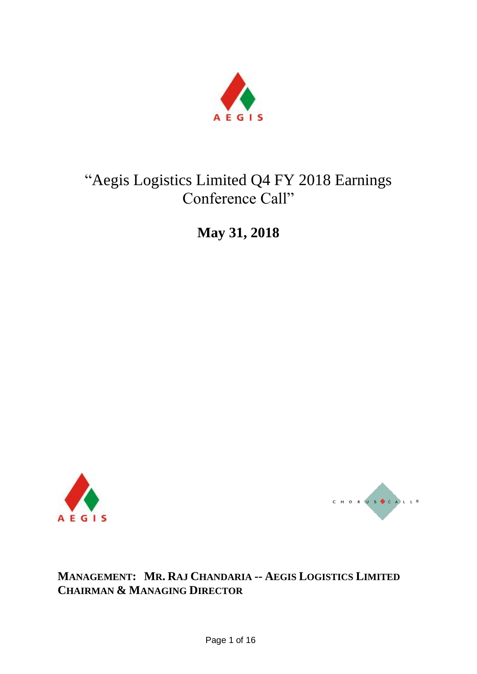

# "Aegis Logistics Limited Q4 FY 2018 Earnings Conference Call"

**May 31, 2018**





**MANAGEMENT: MR. RAJ CHANDARIA -- AEGIS LOGISTICS LIMITED CHAIRMAN & MANAGING DIRECTOR**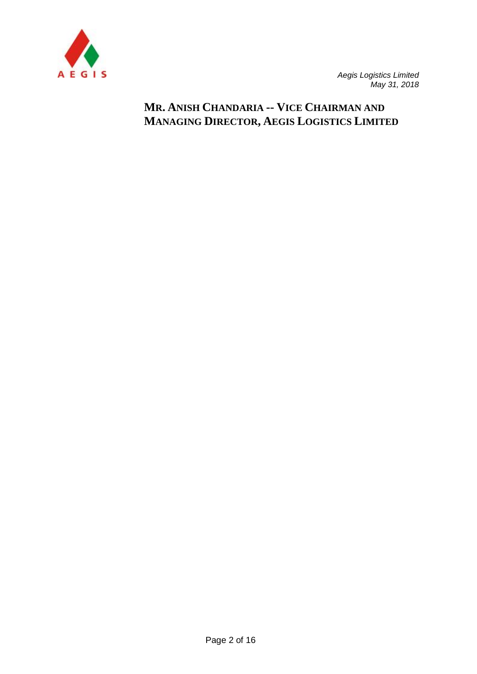

## **MR. ANISH CHANDARIA -- VICE CHAIRMAN AND MANAGING DIRECTOR, AEGIS LOGISTICS LIMITED**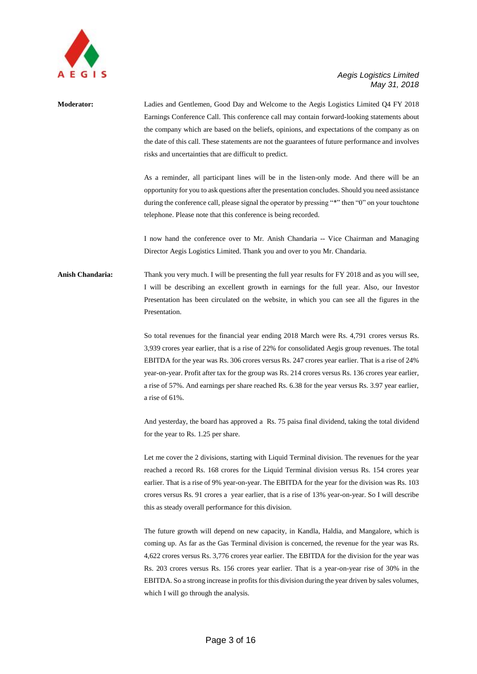

## **Moderator:** Ladies and Gentlemen, Good Day and Welcome to the Aegis Logistics Limited Q4 FY 2018 Earnings Conference Call. This conference call may contain forward-looking statements about the company which are based on the beliefs, opinions, and expectations of the company as on the date of this call. These statements are not the guarantees of future performance and involves risks and uncertainties that are difficult to predict. As a reminder, all participant lines will be in the listen-only mode. And there will be an opportunity for you to ask questions after the presentation concludes. Should you need assistance during the conference call, please signal the operator by pressing "\*" then "0" on your touchtone telephone. Please note that this conference is being recorded. I now hand the conference over to Mr. Anish Chandaria -- Vice Chairman and Managing Director Aegis Logistics Limited. Thank you and over to you Mr. Chandaria. **Anish Chandaria:** Thank you very much. I will be presenting the full year results for FY 2018 and as you will see, I will be describing an excellent growth in earnings for the full year. Also, our Investor Presentation has been circulated on the website, in which you can see all the figures in the Presentation. So total revenues for the financial year ending 2018 March were Rs. 4,791 crores versus Rs. 3,939 crores year earlier, that is a rise of 22% for consolidated Aegis group revenues. The total EBITDA for the year was Rs. 306 crores versus Rs. 247 crores year earlier. That is a rise of 24%

year-on-year. Profit after tax for the group was Rs. 214 crores versus Rs. 136 crores year earlier, a rise of 57%. And earnings per share reached Rs. 6.38 for the year versus Rs. 3.97 year earlier, a rise of 61%.

And yesterday, the board has approved a Rs. 75 paisa final dividend, taking the total dividend for the year to Rs. 1.25 per share.

Let me cover the 2 divisions, starting with Liquid Terminal division. The revenues for the year reached a record Rs. 168 crores for the Liquid Terminal division versus Rs. 154 crores year earlier. That is a rise of 9% year-on-year. The EBITDA for the year for the division was Rs. 103 crores versus Rs. 91 crores a year earlier, that is a rise of 13% year-on-year. So I will describe this as steady overall performance for this division.

The future growth will depend on new capacity, in Kandla, Haldia, and Mangalore, which is coming up. As far as the Gas Terminal division is concerned, the revenue for the year was Rs. 4,622 crores versus Rs. 3,776 crores year earlier. The EBITDA for the division for the year was Rs. 203 crores versus Rs. 156 crores year earlier. That is a year-on-year rise of 30% in the EBITDA. So a strong increase in profits for this division during the year driven by sales volumes, which I will go through the analysis.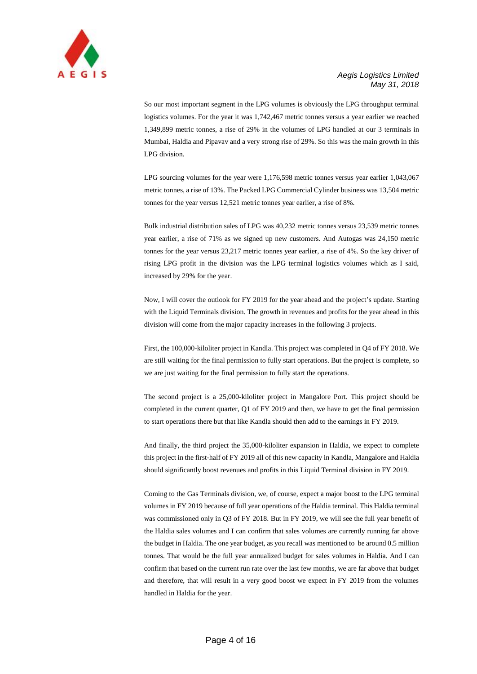

So our most important segment in the LPG volumes is obviously the LPG throughput terminal logistics volumes. For the year it was 1,742,467 metric tonnes versus a year earlier we reached 1,349,899 metric tonnes, a rise of 29% in the volumes of LPG handled at our 3 terminals in Mumbai, Haldia and Pipavav and a very strong rise of 29%. So this was the main growth in this LPG division.

LPG sourcing volumes for the year were 1,176,598 metric tonnes versus year earlier 1,043,067 metric tonnes, a rise of 13%. The Packed LPG Commercial Cylinder business was 13,504 metric tonnes for the year versus 12,521 metric tonnes year earlier, a rise of 8%.

Bulk industrial distribution sales of LPG was 40,232 metric tonnes versus 23,539 metric tonnes year earlier, a rise of 71% as we signed up new customers. And Autogas was 24,150 metric tonnes for the year versus 23,217 metric tonnes year earlier, a rise of 4%. So the key driver of rising LPG profit in the division was the LPG terminal logistics volumes which as I said, increased by 29% for the year.

Now, I will cover the outlook for FY 2019 for the year ahead and the project's update. Starting with the Liquid Terminals division. The growth in revenues and profits for the year ahead in this division will come from the major capacity increases in the following 3 projects.

First, the 100,000-kiloliter project in Kandla. This project was completed in Q4 of FY 2018. We are still waiting for the final permission to fully start operations. But the project is complete, so we are just waiting for the final permission to fully start the operations.

The second project is a 25,000-kiloliter project in Mangalore Port. This project should be completed in the current quarter, Q1 of FY 2019 and then, we have to get the final permission to start operations there but that like Kandla should then add to the earnings in FY 2019.

And finally, the third project the 35,000-kiloliter expansion in Haldia, we expect to complete this project in the first-half of FY 2019 all of this new capacity in Kandla, Mangalore and Haldia should significantly boost revenues and profits in this Liquid Terminal division in FY 2019.

Coming to the Gas Terminals division, we, of course, expect a major boost to the LPG terminal volumes in FY 2019 because of full year operations of the Haldia terminal. This Haldia terminal was commissioned only in Q3 of FY 2018. But in FY 2019, we will see the full year benefit of the Haldia sales volumes and I can confirm that sales volumes are currently running far above the budget in Haldia. The one year budget, as you recall was mentioned to be around 0.5 million tonnes. That would be the full year annualized budget for sales volumes in Haldia. And I can confirm that based on the current run rate over the last few months, we are far above that budget and therefore, that will result in a very good boost we expect in FY 2019 from the volumes handled in Haldia for the year.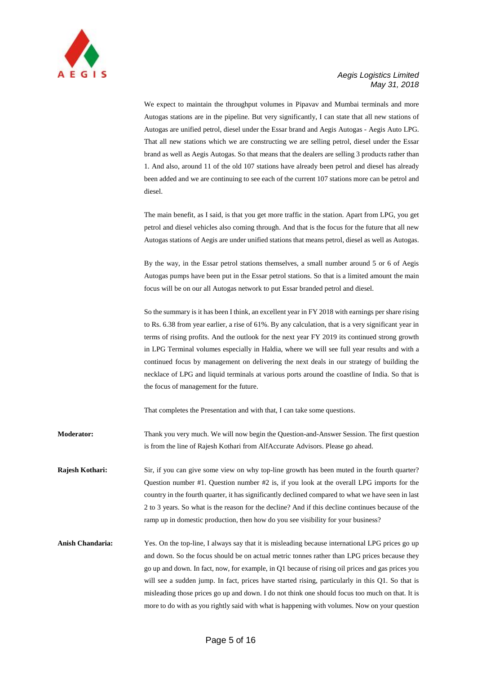

We expect to maintain the throughput volumes in Pipavav and Mumbai terminals and more Autogas stations are in the pipeline. But very significantly, I can state that all new stations of Autogas are unified petrol, diesel under the Essar brand and Aegis Autogas - Aegis Auto LPG. That all new stations which we are constructing we are selling petrol, diesel under the Essar brand as well as Aegis Autogas. So that means that the dealers are selling 3 products rather than 1. And also, around 11 of the old 107 stations have already been petrol and diesel has already been added and we are continuing to see each of the current 107 stations more can be petrol and diesel.

The main benefit, as I said, is that you get more traffic in the station. Apart from LPG, you get petrol and diesel vehicles also coming through. And that is the focus for the future that all new Autogas stations of Aegis are under unified stations that means petrol, diesel as well as Autogas.

By the way, in the Essar petrol stations themselves, a small number around 5 or 6 of Aegis Autogas pumps have been put in the Essar petrol stations. So that is a limited amount the main focus will be on our all Autogas network to put Essar branded petrol and diesel.

So the summary is it has been I think, an excellent year in FY 2018 with earnings per share rising to Rs. 6.38 from year earlier, a rise of 61%. By any calculation, that is a very significant year in terms of rising profits. And the outlook for the next year FY 2019 its continued strong growth in LPG Terminal volumes especially in Haldia, where we will see full year results and with a continued focus by management on delivering the next deals in our strategy of building the necklace of LPG and liquid terminals at various ports around the coastline of India. So that is the focus of management for the future.

That completes the Presentation and with that, I can take some questions.

**Moderator:** Thank you very much. We will now begin the Question-and-Answer Session. The first question is from the line of Rajesh Kothari from AlfAccurate Advisors. Please go ahead.

**Rajesh Kothari:** Sir, if you can give some view on why top-line growth has been muted in the fourth quarter? Question number #1. Question number #2 is, if you look at the overall LPG imports for the country in the fourth quarter, it has significantly declined compared to what we have seen in last 2 to 3 years. So what is the reason for the decline? And if this decline continues because of the ramp up in domestic production, then how do you see visibility for your business?

**Anish Chandaria:** Yes. On the top-line, I always say that it is misleading because international LPG prices go up and down. So the focus should be on actual metric tonnes rather than LPG prices because they go up and down. In fact, now, for example, in Q1 because of rising oil prices and gas prices you will see a sudden jump. In fact, prices have started rising, particularly in this Q1. So that is misleading those prices go up and down. I do not think one should focus too much on that. It is more to do with as you rightly said with what is happening with volumes. Now on your question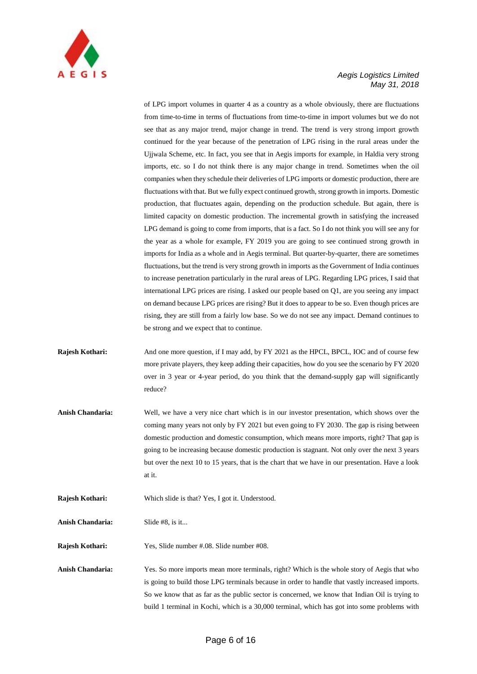

of LPG import volumes in quarter 4 as a country as a whole obviously, there are fluctuations from time-to-time in terms of fluctuations from time-to-time in import volumes but we do not see that as any major trend, major change in trend. The trend is very strong import growth continued for the year because of the penetration of LPG rising in the rural areas under the Ujjwala Scheme, etc. In fact, you see that in Aegis imports for example, in Haldia very strong imports, etc. so I do not think there is any major change in trend. Sometimes when the oil companies when they schedule their deliveries of LPG imports or domestic production, there are fluctuations with that. But we fully expect continued growth, strong growth in imports. Domestic production, that fluctuates again, depending on the production schedule. But again, there is limited capacity on domestic production. The incremental growth in satisfying the increased LPG demand is going to come from imports, that is a fact. So I do not think you will see any for the year as a whole for example, FY 2019 you are going to see continued strong growth in imports for India as a whole and in Aegis terminal. But quarter-by-quarter, there are sometimes fluctuations, but the trend is very strong growth in imports as the Government of India continues to increase penetration particularly in the rural areas of LPG. Regarding LPG prices, I said that international LPG prices are rising. I asked our people based on Q1, are you seeing any impact on demand because LPG prices are rising? But it does to appear to be so. Even though prices are rising, they are still from a fairly low base. So we do not see any impact. Demand continues to be strong and we expect that to continue.

- **Rajesh Kothari:** And one more question, if I may add, by FY 2021 as the HPCL, BPCL, IOC and of course few more private players, they keep adding their capacities, how do you see the scenario by FY 2020 over in 3 year or 4-year period, do you think that the demand-supply gap will significantly reduce?
- **Anish Chandaria:** Well, we have a very nice chart which is in our investor presentation, which shows over the coming many years not only by FY 2021 but even going to FY 2030. The gap is rising between domestic production and domestic consumption, which means more imports, right? That gap is going to be increasing because domestic production is stagnant. Not only over the next 3 years but over the next 10 to 15 years, that is the chart that we have in our presentation. Have a look at it.
- **Rajesh Kothari:** Which slide is that? Yes, I got it. Understood.

**Anish Chandaria:** Slide #8, is it...

**Rajesh Kothari:** Yes, Slide number #.08. Slide number #08.

**Anish Chandaria:** Yes. So more imports mean more terminals, right? Which is the whole story of Aegis that who is going to build those LPG terminals because in order to handle that vastly increased imports. So we know that as far as the public sector is concerned, we know that Indian Oil is trying to build 1 terminal in Kochi, which is a 30,000 terminal, which has got into some problems with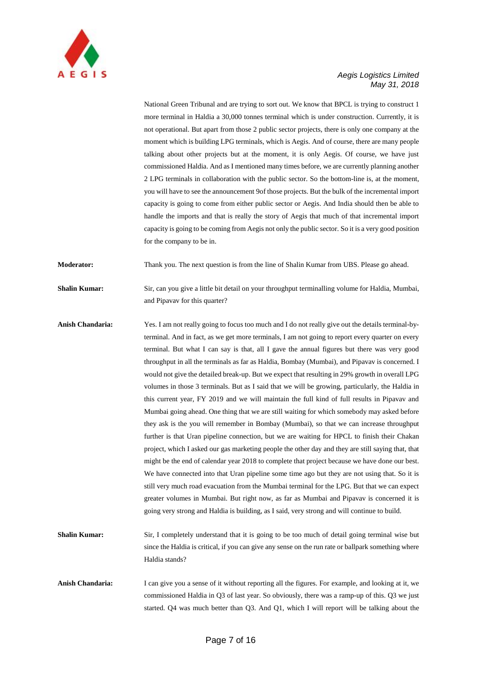

National Green Tribunal and are trying to sort out. We know that BPCL is trying to construct 1 more terminal in Haldia a 30,000 tonnes terminal which is under construction. Currently, it is not operational. But apart from those 2 public sector projects, there is only one company at the moment which is building LPG terminals, which is Aegis. And of course, there are many people talking about other projects but at the moment, it is only Aegis. Of course, we have just commissioned Haldia. And as I mentioned many times before, we are currently planning another 2 LPG terminals in collaboration with the public sector. So the bottom-line is, at the moment, you will have to see the announcement 9of those projects. But the bulk of the incremental import capacity is going to come from either public sector or Aegis. And India should then be able to handle the imports and that is really the story of Aegis that much of that incremental import capacity is going to be coming from Aegis not only the public sector. So it is a very good position for the company to be in.

**Moderator:** Thank you. The next question is from the line of Shalin Kumar from UBS. Please go ahead.

**Shalin Kumar:** Sir, can you give a little bit detail on your throughput terminalling volume for Haldia, Mumbai, and Pipavav for this quarter?

- **Anish Chandaria:** Yes. I am not really going to focus too much and I do not really give out the details terminal-byterminal. And in fact, as we get more terminals, I am not going to report every quarter on every terminal. But what I can say is that, all I gave the annual figures but there was very good throughput in all the terminals as far as Haldia, Bombay (Mumbai), and Pipavav is concerned. I would not give the detailed break-up. But we expect that resulting in 29% growth in overall LPG volumes in those 3 terminals. But as I said that we will be growing, particularly, the Haldia in this current year, FY 2019 and we will maintain the full kind of full results in Pipavav and Mumbai going ahead. One thing that we are still waiting for which somebody may asked before they ask is the you will remember in Bombay (Mumbai), so that we can increase throughput further is that Uran pipeline connection, but we are waiting for HPCL to finish their Chakan project, which I asked our gas marketing people the other day and they are still saying that, that might be the end of calendar year 2018 to complete that project because we have done our best. We have connected into that Uran pipeline some time ago but they are not using that. So it is still very much road evacuation from the Mumbai terminal for the LPG. But that we can expect greater volumes in Mumbai. But right now, as far as Mumbai and Pipavav is concerned it is going very strong and Haldia is building, as I said, very strong and will continue to build.
- **Shalin Kumar:** Sir, I completely understand that it is going to be too much of detail going terminal wise but since the Haldia is critical, if you can give any sense on the run rate or ballpark something where Haldia stands?
- **Anish Chandaria:** I can give you a sense of it without reporting all the figures. For example, and looking at it, we commissioned Haldia in Q3 of last year. So obviously, there was a ramp-up of this. Q3 we just started. Q4 was much better than Q3. And Q1, which I will report will be talking about the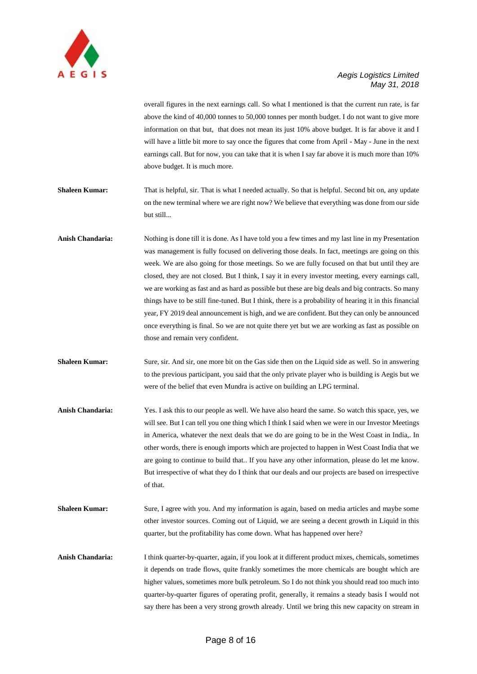

overall figures in the next earnings call. So what I mentioned is that the current run rate, is far above the kind of 40,000 tonnes to 50,000 tonnes per month budget. I do not want to give more information on that but, that does not mean its just 10% above budget. It is far above it and I will have a little bit more to say once the figures that come from April - May - June in the next earnings call. But for now, you can take that it is when I say far above it is much more than 10% above budget. It is much more.

- **Shaleen Kumar:** That is helpful, sir. That is what I needed actually. So that is helpful. Second bit on, any update on the new terminal where we are right now? We believe that everything was done from our side but still...
- **Anish Chandaria:** Nothing is done till it is done. As I have told you a few times and my last line in my Presentation was management is fully focused on delivering those deals. In fact, meetings are going on this week. We are also going for those meetings. So we are fully focused on that but until they are closed, they are not closed. But I think, I say it in every investor meeting, every earnings call, we are working as fast and as hard as possible but these are big deals and big contracts. So many things have to be still fine-tuned. But I think, there is a probability of hearing it in this financial year, FY 2019 deal announcement is high, and we are confident. But they can only be announced once everything is final. So we are not quite there yet but we are working as fast as possible on those and remain very confident.
- **Shaleen Kumar:** Sure, sir. And sir, one more bit on the Gas side then on the Liquid side as well. So in answering to the previous participant, you said that the only private player who is building is Aegis but we were of the belief that even Mundra is active on building an LPG terminal.
- **Anish Chandaria:** Yes. I ask this to our people as well. We have also heard the same. So watch this space, yes, we will see. But I can tell you one thing which I think I said when we were in our Investor Meetings in America, whatever the next deals that we do are going to be in the West Coast in India,. In other words, there is enough imports which are projected to happen in West Coast India that we are going to continue to build that.. If you have any other information, please do let me know. But irrespective of what they do I think that our deals and our projects are based on irrespective of that.
- **Shaleen Kumar:** Sure, I agree with you. And my information is again, based on media articles and maybe some other investor sources. Coming out of Liquid, we are seeing a decent growth in Liquid in this quarter, but the profitability has come down. What has happened over here?
- **Anish Chandaria:** I think quarter-by-quarter, again, if you look at it different product mixes, chemicals, sometimes it depends on trade flows, quite frankly sometimes the more chemicals are bought which are higher values, sometimes more bulk petroleum. So I do not think you should read too much into quarter-by-quarter figures of operating profit, generally, it remains a steady basis I would not say there has been a very strong growth already. Until we bring this new capacity on stream in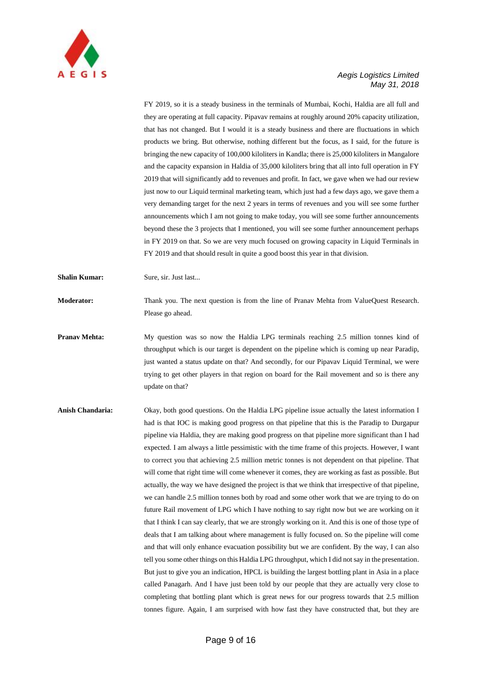

FY 2019, so it is a steady business in the terminals of Mumbai, Kochi, Haldia are all full and they are operating at full capacity. Pipavav remains at roughly around 20% capacity utilization, that has not changed. But I would it is a steady business and there are fluctuations in which products we bring. But otherwise, nothing different but the focus, as I said, for the future is bringing the new capacity of 100,000 kiloliters in Kandla; there is 25,000 kiloliters in Mangalore and the capacity expansion in Haldia of 35,000 kiloliters bring that all into full operation in FY 2019 that will significantly add to revenues and profit. In fact, we gave when we had our review just now to our Liquid terminal marketing team, which just had a few days ago, we gave them a very demanding target for the next 2 years in terms of revenues and you will see some further announcements which I am not going to make today, you will see some further announcements beyond these the 3 projects that I mentioned, you will see some further announcement perhaps in FY 2019 on that. So we are very much focused on growing capacity in Liquid Terminals in FY 2019 and that should result in quite a good boost this year in that division.

**Shalin Kumar:** Sure, sir. Just last...

**Moderator:** Thank you. The next question is from the line of Pranav Mehta from ValueQuest Research. Please go ahead.

- **Pranav Mehta:** My question was so now the Haldia LPG terminals reaching 2.5 million tonnes kind of throughput which is our target is dependent on the pipeline which is coming up near Paradip, just wanted a status update on that? And secondly, for our Pipavav Liquid Terminal, we were trying to get other players in that region on board for the Rail movement and so is there any update on that?
- **Anish Chandaria:** Okay, both good questions. On the Haldia LPG pipeline issue actually the latest information I had is that IOC is making good progress on that pipeline that this is the Paradip to Durgapur pipeline via Haldia, they are making good progress on that pipeline more significant than I had expected. I am always a little pessimistic with the time frame of this projects. However, I want to correct you that achieving 2.5 million metric tonnes is not dependent on that pipeline. That will come that right time will come whenever it comes, they are working as fast as possible. But actually, the way we have designed the project is that we think that irrespective of that pipeline, we can handle 2.5 million tonnes both by road and some other work that we are trying to do on future Rail movement of LPG which I have nothing to say right now but we are working on it that I think I can say clearly, that we are strongly working on it. And this is one of those type of deals that I am talking about where management is fully focused on. So the pipeline will come and that will only enhance evacuation possibility but we are confident. By the way, I can also tell you some other things on this Haldia LPG throughput, which I did not say in the presentation. But just to give you an indication, HPCL is building the largest bottling plant in Asia in a place called Panagarh. And I have just been told by our people that they are actually very close to completing that bottling plant which is great news for our progress towards that 2.5 million tonnes figure. Again, I am surprised with how fast they have constructed that, but they are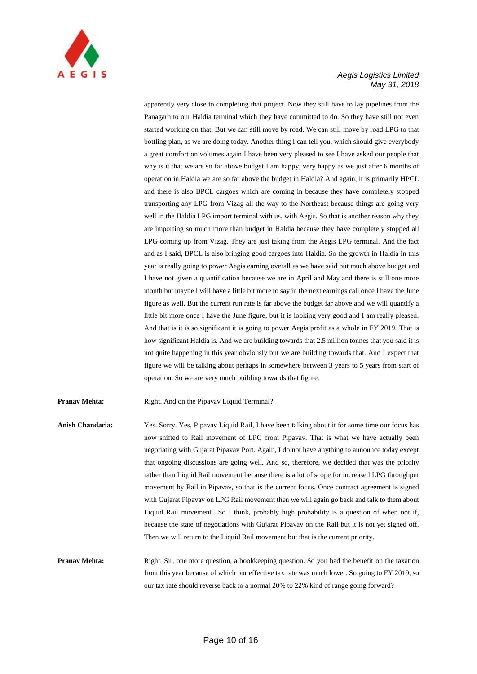

apparently very close to completing that project. Now they still have to lay pipelines from the Panagarh to our Haldia terminal which they have committed to do. So they have still not even started working on that. But we can still move by road. We can still move by road LPG to that bottling plan, as we are doing today. Another thing I can tell you, which should give everybody a great comfort on volumes again I have been very pleased to see I have asked our people that why is it that we are so far above budget I am happy, very happy as we just after 6 months of operation in Haldia we are so far above the budget in Haldia? And again, it is primarily HPCL and there is also BPCL cargoes which are coming in because they have completely stopped transporting any LPG from Vizag all the way to the Northeast because things are going very well in the Haldia LPG import terminal with us, with Aegis. So that is another reason why they are importing so much more than budget in Haldia because they have completely stopped all LPG coming up from Vizag. They are just taking from the Aegis LPG terminal. And the fact and as I said, BPCL is also bringing good cargoes into Haldia. So the growth in Haldia in this year is really going to power Aegis earning overall as we have said but much above budget and I have not given a quantification because we are in April and May and there is still one more month but maybe I will have a little bit more to say in the next earnings call once I have the June figure as well. But the current run rate is far above the budget far above and we will quantify a little bit more once I have the June figure, but it is looking very good and I am really pleased. And that is it is so significant it is going to power Aegis profit as a whole in FY 2019. That is how significant Haldia is. And we are building towards that 2.5 million tonnes that you said it is not quite happening in this year obviously but we are building towards that. And I expect that figure we will be talking about perhaps in somewhere between 3 years to 5 years from start of operation. So we are very much building towards that figure.

**Pranav Mehta:** Right. And on the Pipavav Liquid Terminal?

**Anish Chandaria:** Yes. Sorry. Yes, Pipavav Liquid Rail, I have been talking about it for some time our focus has now shifted to Rail movement of LPG from Pipavav. That is what we have actually been negotiating with Gujarat Pipavav Port. Again, I do not have anything to announce today except that ongoing discussions are going well. And so, therefore, we decided that was the priority rather than Liquid Rail movement because there is a lot of scope for increased LPG throughput movement by Rail in Pipavav, so that is the current focus. Once contract agreement is signed with Gujarat Pipavav on LPG Rail movement then we will again go back and talk to them about Liquid Rail movement.. So I think, probably high probability is a question of when not if, because the state of negotiations with Gujarat Pipavav on the Rail but it is not yet signed off. Then we will return to the Liquid Rail movement but that is the current priority.

**Pranav Mehta:** Right. Sir, one more question, a bookkeeping question. So you had the benefit on the taxation front this year because of which our effective tax rate was much lower. So going to FY 2019, so our tax rate should reverse back to a normal 20% to 22% kind of range going forward?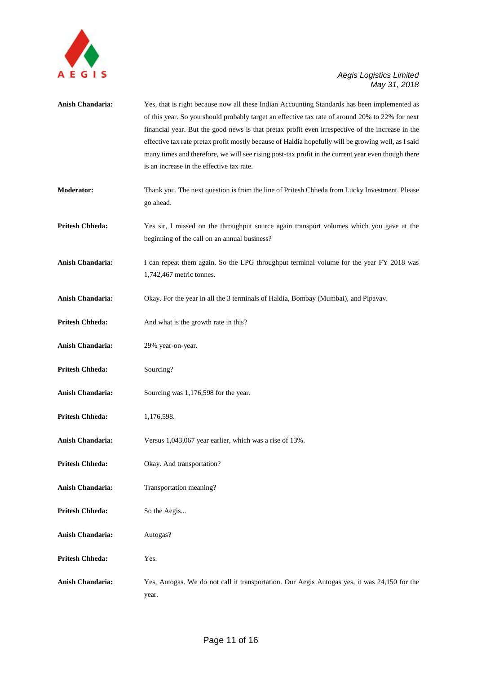

| Anish Chandaria:        | Yes, that is right because now all these Indian Accounting Standards has been implemented as<br>of this year. So you should probably target an effective tax rate of around 20% to 22% for next<br>financial year. But the good news is that pretax profit even irrespective of the increase in the<br>effective tax rate pretax profit mostly because of Haldia hopefully will be growing well, as I said<br>many times and therefore, we will see rising post-tax profit in the current year even though there<br>is an increase in the effective tax rate. |
|-------------------------|---------------------------------------------------------------------------------------------------------------------------------------------------------------------------------------------------------------------------------------------------------------------------------------------------------------------------------------------------------------------------------------------------------------------------------------------------------------------------------------------------------------------------------------------------------------|
| <b>Moderator:</b>       | Thank you. The next question is from the line of Pritesh Chheda from Lucky Investment. Please<br>go ahead.                                                                                                                                                                                                                                                                                                                                                                                                                                                    |
| <b>Pritesh Chheda:</b>  | Yes sir, I missed on the throughput source again transport volumes which you gave at the<br>beginning of the call on an annual business?                                                                                                                                                                                                                                                                                                                                                                                                                      |
| Anish Chandaria:        | I can repeat them again. So the LPG throughput terminal volume for the year FY 2018 was<br>1,742,467 metric tonnes.                                                                                                                                                                                                                                                                                                                                                                                                                                           |
| Anish Chandaria:        | Okay. For the year in all the 3 terminals of Haldia, Bombay (Mumbai), and Pipavav.                                                                                                                                                                                                                                                                                                                                                                                                                                                                            |
| <b>Pritesh Chheda:</b>  | And what is the growth rate in this?                                                                                                                                                                                                                                                                                                                                                                                                                                                                                                                          |
| Anish Chandaria:        | 29% year-on-year.                                                                                                                                                                                                                                                                                                                                                                                                                                                                                                                                             |
| <b>Pritesh Chheda:</b>  | Sourcing?                                                                                                                                                                                                                                                                                                                                                                                                                                                                                                                                                     |
| Anish Chandaria:        | Sourcing was 1,176,598 for the year.                                                                                                                                                                                                                                                                                                                                                                                                                                                                                                                          |
| <b>Pritesh Chheda:</b>  | 1,176,598.                                                                                                                                                                                                                                                                                                                                                                                                                                                                                                                                                    |
| <b>Anish Chandaria:</b> | Versus 1,043,067 year earlier, which was a rise of 13%.                                                                                                                                                                                                                                                                                                                                                                                                                                                                                                       |
| <b>Pritesh Chheda:</b>  | Okay. And transportation?                                                                                                                                                                                                                                                                                                                                                                                                                                                                                                                                     |
| Anish Chandaria:        | Transportation meaning?                                                                                                                                                                                                                                                                                                                                                                                                                                                                                                                                       |
| <b>Pritesh Chheda:</b>  | So the Aegis                                                                                                                                                                                                                                                                                                                                                                                                                                                                                                                                                  |
| Anish Chandaria:        | Autogas?                                                                                                                                                                                                                                                                                                                                                                                                                                                                                                                                                      |
| <b>Pritesh Chheda:</b>  | Yes.                                                                                                                                                                                                                                                                                                                                                                                                                                                                                                                                                          |
| Anish Chandaria:        | Yes, Autogas. We do not call it transportation. Our Aegis Autogas yes, it was 24,150 for the<br>year.                                                                                                                                                                                                                                                                                                                                                                                                                                                         |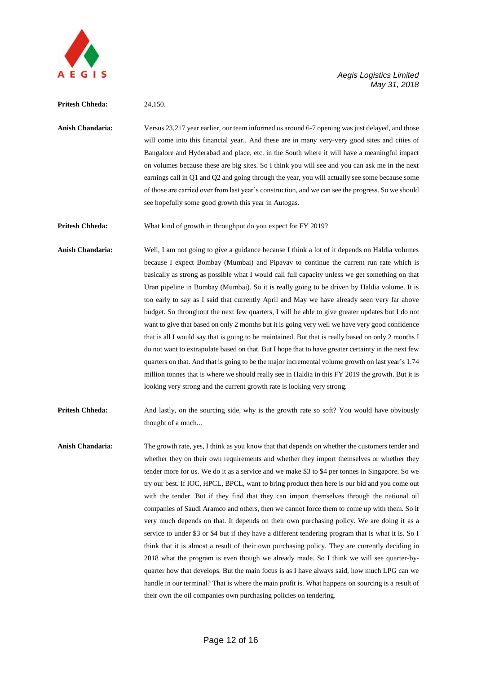

#### **Pritesh Chheda:** 24,150.

**Anish Chandaria:** Versus 23,217 year earlier, our team informed us around 6-7 opening was just delayed, and those will come into this financial year.. And these are in many very-very good sites and cities of Bangalore and Hyderabad and place, etc. in the South where it will have a meaningful impact on volumes because these are big sites. So I think you will see and you can ask me in the next earnings call in Q1 and Q2 and going through the year, you will actually see some because some of those are carried over from last year's construction, and we can see the progress. So we should see hopefully some good growth this year in Autogas.

**Pritesh Chheda:** What kind of growth in throughput do you expect for FY 2019?

**Anish Chandaria:** Well, I am not going to give a guidance because I think a lot of it depends on Haldia volumes because I expect Bombay (Mumbai) and Pipavav to continue the current run rate which is basically as strong as possible what I would call full capacity unless we get something on that Uran pipeline in Bombay (Mumbai). So it is really going to be driven by Haldia volume. It is too early to say as I said that currently April and May we have already seen very far above budget. So throughout the next few quarters, I will be able to give greater updates but I do not want to give that based on only 2 months but it is going very well we have very good confidence that is all I would say that is going to be maintained. But that is really based on only 2 months I do not want to extrapolate based on that. But I hope that to have greater certainty in the next few quarters on that. And that is going to be the major incremental volume growth on last year's 1.74 million tonnes that is where we should really see in Haldia in this FY 2019 the growth. But it is looking very strong and the current growth rate is looking very strong.

**Pritesh Chheda:** And lastly, on the sourcing side, why is the growth rate so soft? You would have obviously thought of a much...

**Anish Chandaria:** The growth rate, yes, I think as you know that that depends on whether the customers tender and whether they on their own requirements and whether they import themselves or whether they tender more for us. We do it as a service and we make \$3 to \$4 per tonnes in Singapore. So we try our best. If IOC, HPCL, BPCL, want to bring product then here is our bid and you come out with the tender. But if they find that they can import themselves through the national oil companies of Saudi Aramco and others, then we cannot force them to come up with them. So it very much depends on that. It depends on their own purchasing policy. We are doing it as a service to under \$3 or \$4 but if they have a different tendering program that is what it is. So I think that it is almost a result of their own purchasing policy. They are currently deciding in 2018 what the program is even though we already made. So I think we will see quarter-byquarter how that develops. But the main focus is as I have always said, how much LPG can we handle in our terminal? That is where the main profit is. What happens on sourcing is a result of their own the oil companies own purchasing policies on tendering.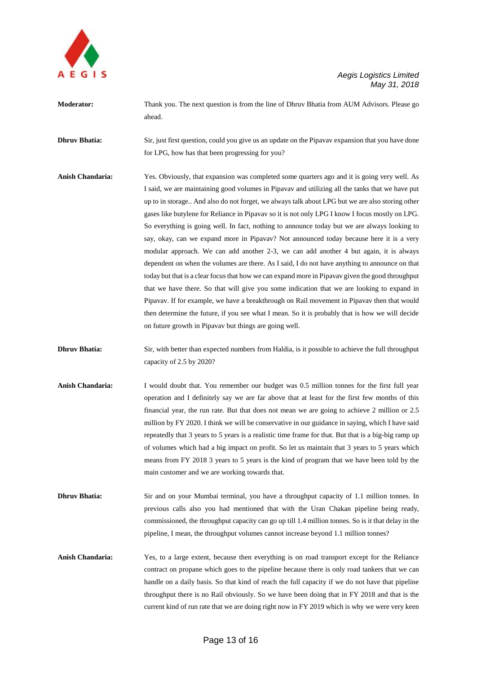

**Moderator:** Thank you. The next question is from the line of Dhruv Bhatia from AUM Advisors. Please go ahead.

**Dhruv Bhatia:** Sir, just first question, could you give us an update on the Pipavav expansion that you have done for LPG, how has that been progressing for you?

- **Anish Chandaria:** Yes. Obviously, that expansion was completed some quarters ago and it is going very well. As I said, we are maintaining good volumes in Pipavav and utilizing all the tanks that we have put up to in storage.. And also do not forget, we always talk about LPG but we are also storing other gases like butylene for Reliance in Pipavav so it is not only LPG I know I focus mostly on LPG. So everything is going well. In fact, nothing to announce today but we are always looking to say, okay, can we expand more in Pipavav? Not announced today because here it is a very modular approach. We can add another 2-3, we can add another 4 but again, it is always dependent on when the volumes are there. As I said, I do not have anything to announce on that today but that is a clear focus that how we can expand more in Pipavav given the good throughput that we have there. So that will give you some indication that we are looking to expand in Pipavav. If for example, we have a breakthrough on Rail movement in Pipavav then that would then determine the future, if you see what I mean. So it is probably that is how we will decide on future growth in Pipavav but things are going well.
- **Dhruv Bhatia:** Sir, with better than expected numbers from Haldia, is it possible to achieve the full throughput capacity of 2.5 by 2020?
- **Anish Chandaria:** I would doubt that. You remember our budget was 0.5 million tonnes for the first full year operation and I definitely say we are far above that at least for the first few months of this financial year, the run rate. But that does not mean we are going to achieve 2 million or 2.5 million by FY 2020. I think we will be conservative in our guidance in saying, which I have said repeatedly that 3 years to 5 years is a realistic time frame for that. But that is a big-big ramp up of volumes which had a big impact on profit. So let us maintain that 3 years to 5 years which means from FY 2018 3 years to 5 years is the kind of program that we have been told by the main customer and we are working towards that.
- **Dhruv Bhatia:** Sir and on your Mumbai terminal, you have a throughput capacity of 1.1 million tonnes. In previous calls also you had mentioned that with the Uran Chakan pipeline being ready, commissioned, the throughput capacity can go up till 1.4 million tonnes. So is it that delay in the pipeline, I mean, the throughput volumes cannot increase beyond 1.1 million tonnes?
- **Anish Chandaria:** Yes, to a large extent, because then everything is on road transport except for the Reliance contract on propane which goes to the pipeline because there is only road tankers that we can handle on a daily basis. So that kind of reach the full capacity if we do not have that pipeline throughput there is no Rail obviously. So we have been doing that in FY 2018 and that is the current kind of run rate that we are doing right now in FY 2019 which is why we were very keen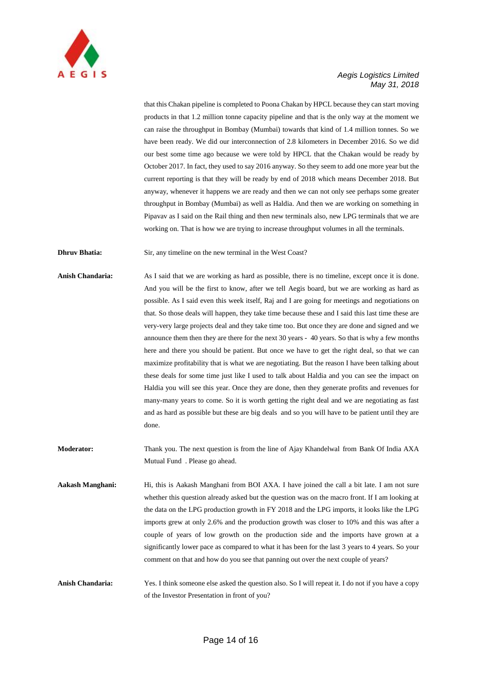

that this Chakan pipeline is completed to Poona Chakan by HPCL because they can start moving products in that 1.2 million tonne capacity pipeline and that is the only way at the moment we can raise the throughput in Bombay (Mumbai) towards that kind of 1.4 million tonnes. So we have been ready. We did our interconnection of 2.8 kilometers in December 2016. So we did our best some time ago because we were told by HPCL that the Chakan would be ready by October 2017. In fact, they used to say 2016 anyway. So they seem to add one more year but the current reporting is that they will be ready by end of 2018 which means December 2018. But anyway, whenever it happens we are ready and then we can not only see perhaps some greater throughput in Bombay (Mumbai) as well as Haldia. And then we are working on something in Pipavav as I said on the Rail thing and then new terminals also, new LPG terminals that we are working on. That is how we are trying to increase throughput volumes in all the terminals.

**Dhruv Bhatia:** Sir, any timeline on the new terminal in the West Coast?

**Anish Chandaria:** As I said that we are working as hard as possible, there is no timeline, except once it is done. And you will be the first to know, after we tell Aegis board, but we are working as hard as possible. As I said even this week itself, Raj and I are going for meetings and negotiations on that. So those deals will happen, they take time because these and I said this last time these are very-very large projects deal and they take time too. But once they are done and signed and we announce them then they are there for the next 30 years - 40 years. So that is why a few months here and there you should be patient. But once we have to get the right deal, so that we can maximize profitability that is what we are negotiating. But the reason I have been talking about these deals for some time just like I used to talk about Haldia and you can see the impact on Haldia you will see this year. Once they are done, then they generate profits and revenues for many-many years to come. So it is worth getting the right deal and we are negotiating as fast and as hard as possible but these are big deals and so you will have to be patient until they are done.

**Moderator:** Thank you. The next question is from the line of Ajay Khandelwal from Bank Of India AXA Mutual Fund . Please go ahead.

**Aakash Manghani:** Hi, this is Aakash Manghani from BOI AXA. I have joined the call a bit late. I am not sure whether this question already asked but the question was on the macro front. If I am looking at the data on the LPG production growth in FY 2018 and the LPG imports, it looks like the LPG imports grew at only 2.6% and the production growth was closer to 10% and this was after a couple of years of low growth on the production side and the imports have grown at a significantly lower pace as compared to what it has been for the last 3 years to 4 years. So your comment on that and how do you see that panning out over the next couple of years?

**Anish Chandaria:** Yes. I think someone else asked the question also. So I will repeat it. I do not if you have a copy of the Investor Presentation in front of you?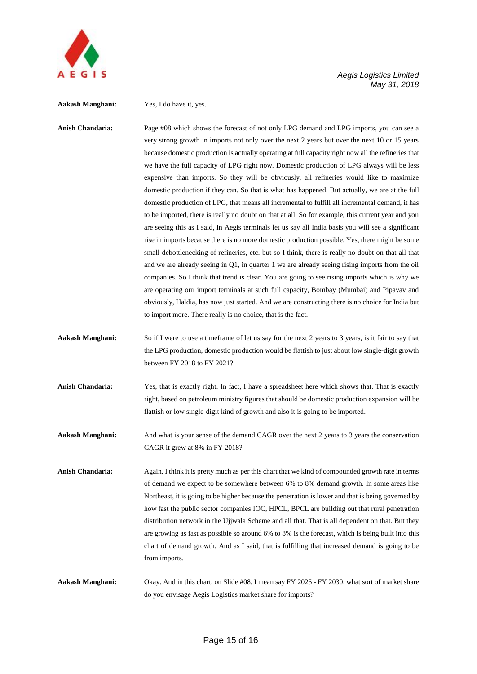

#### **Aakash Manghani:** Yes, I do have it, yes.

**Anish Chandaria:** Page #08 which shows the forecast of not only LPG demand and LPG imports, you can see a very strong growth in imports not only over the next 2 years but over the next 10 or 15 years because domestic production is actually operating at full capacity right now all the refineries that we have the full capacity of LPG right now. Domestic production of LPG always will be less expensive than imports. So they will be obviously, all refineries would like to maximize domestic production if they can. So that is what has happened. But actually, we are at the full domestic production of LPG, that means all incremental to fulfill all incremental demand, it has to be imported, there is really no doubt on that at all. So for example, this current year and you are seeing this as I said, in Aegis terminals let us say all India basis you will see a significant rise in imports because there is no more domestic production possible. Yes, there might be some small debottlenecking of refineries, etc. but so I think, there is really no doubt on that all that and we are already seeing in Q1, in quarter 1 we are already seeing rising imports from the oil companies. So I think that trend is clear. You are going to see rising imports which is why we are operating our import terminals at such full capacity, Bombay (Mumbai) and Pipavav and obviously, Haldia, has now just started. And we are constructing there is no choice for India but to import more. There really is no choice, that is the fact.

- **Aakash Manghani:** So if I were to use a timeframe of let us say for the next 2 years to 3 years, is it fair to say that the LPG production, domestic production would be flattish to just about low single-digit growth between FY 2018 to FY 2021?
- **Anish Chandaria:** Yes, that is exactly right. In fact, I have a spreadsheet here which shows that. That is exactly right, based on petroleum ministry figures that should be domestic production expansion will be flattish or low single-digit kind of growth and also it is going to be imported.

**Aakash Manghani:** And what is your sense of the demand CAGR over the next 2 years to 3 years the conservation CAGR it grew at 8% in FY 2018?

- **Anish Chandaria:** Again, I think it is pretty much as per this chart that we kind of compounded growth rate in terms of demand we expect to be somewhere between 6% to 8% demand growth. In some areas like Northeast, it is going to be higher because the penetration is lower and that is being governed by how fast the public sector companies IOC, HPCL, BPCL are building out that rural penetration distribution network in the Ujjwala Scheme and all that. That is all dependent on that. But they are growing as fast as possible so around 6% to 8% is the forecast, which is being built into this chart of demand growth. And as I said, that is fulfilling that increased demand is going to be from imports.
- **Aakash Manghani:** Okay. And in this chart, on Slide #08, I mean say FY 2025 FY 2030, what sort of market share do you envisage Aegis Logistics market share for imports?